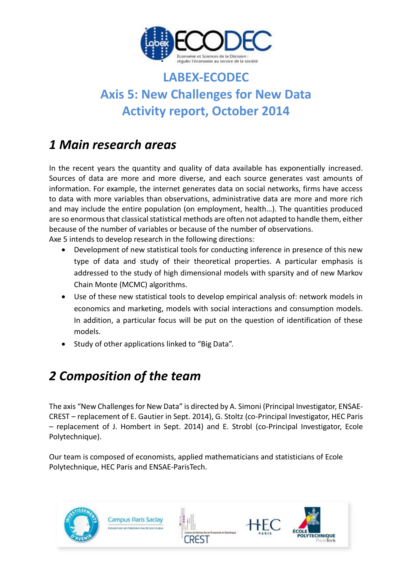

# **LABEX-ECODEC Axis 5: New Challenges for New Data Activity report, October 2014**

# *1 Main research areas*

In the recent years the quantity and quality of data available has exponentially increased. Sources of data are more and more diverse, and each source generates vast amounts of information. For example, the internet generates data on social networks, firms have access to data with more variables than observations, administrative data are more and more rich and may include the entire population (on employment, health…). The quantities produced are so enormous that classical statistical methods are often not adapted to handle them, either because of the number of variables or because of the number of observations. Axe 5 intends to develop research in the following directions:

 Development of new statistical tools for conducting inference in presence of this new type of data and study of their theoretical properties. A particular emphasis is addressed to the study of high dimensional models with sparsity and of new Markov Chain Monte (MCMC) algorithms.

- Use of these new statistical tools to develop empirical analysis of: network models in economics and marketing, models with social interactions and consumption models. In addition, a particular focus will be put on the question of identification of these models.
- Study of other applications linked to "Big Data".

# *2 Composition of the team*

The axis "New Challenges for New Data" is directed by A. Simoni (Principal Investigator, ENSAE-CREST – replacement of E. Gautier in Sept. 2014), G. Stoltz (co-Principal Investigator, HEC Paris – replacement of J. Hombert in Sept. 2014) and E. Strobl (co-Principal Investigator, Ecole Polytechnique).

Our team is composed of economists, applied mathematicians and statisticians of Ecole Polytechnique, HEC Paris and ENSAE-ParisTech.

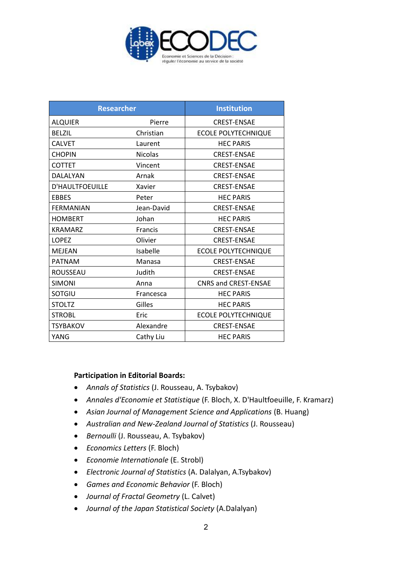

| <b>Researcher</b>      |                | <b>Institution</b>          |
|------------------------|----------------|-----------------------------|
| <b>ALQUIER</b>         | Pierre         | <b>CREST-ENSAE</b>          |
| <b>BELZIL</b>          | Christian      | <b>ECOLE POLYTECHNIQUE</b>  |
| <b>CALVET</b>          | Laurent        | <b>HEC PARIS</b>            |
| <b>CHOPIN</b>          | <b>Nicolas</b> | <b>CREST-ENSAE</b>          |
| <b>COTTET</b>          | Vincent        | <b>CREST-ENSAE</b>          |
| DALALYAN               | Arnak          | <b>CREST-ENSAE</b>          |
| <b>D'HAULTFOEUILLE</b> | Xavier         | <b>CREST-ENSAE</b>          |
| <b>EBBES</b>           | Peter          | <b>HEC PARIS</b>            |
| <b>FERMANIAN</b>       | Jean-David     | <b>CREST-ENSAE</b>          |
| <b>HOMBERT</b>         | Johan          | <b>HEC PARIS</b>            |
| <b>KRAMARZ</b>         | <b>Francis</b> | <b>CREST-ENSAE</b>          |
| <b>LOPEZ</b>           | Olivier        | <b>CREST-ENSAE</b>          |
| <b>MEJEAN</b>          | Isabelle       | <b>ECOLE POLYTECHNIQUE</b>  |
| <b>PATNAM</b>          | Manasa         | <b>CREST-ENSAE</b>          |
| ROUSSEAU               | Judith         | <b>CREST-ENSAE</b>          |
| <b>SIMONI</b>          | Anna           | <b>CNRS and CREST-ENSAE</b> |
| SOTGIU                 | Francesca      | <b>HEC PARIS</b>            |
| <b>STOLTZ</b>          | Gilles         | <b>HEC PARIS</b>            |
| <b>STROBL</b>          | Eric           | <b>ECOLE POLYTECHNIQUE</b>  |
| <b>TSYBAKOV</b>        | Alexandre      | <b>CREST-ENSAE</b>          |
| YANG                   | Cathy Liu      | <b>HEC PARIS</b>            |

### **Participation in Editorial Boards:**

- *Annals of Statistics* (J. Rousseau, A. Tsybakov)
- *Annales d'Economie et Statistique* (F. Bloch, X. D'Haultfoeuille, F. Kramarz)
- *Asian Journal of Management Science and Applications* (B. Huang)
- *Australian and New-Zealand Journal of Statistics* (J. Rousseau)
- *Bernoulli* (J. Rousseau, A. Tsybakov)
- *Economics Letters* (F. Bloch)
- *Economie Internationale* (E. Strobl)
- *Electronic Journal of Statistics* (A. Dalalyan, A.Tsybakov)
- *Games and Economic Behavior* (F. Bloch)
- *Journal of Fractal Geometry* (L. Calvet)
- *Journal of the Japan Statistical Society* (A.Dalalyan)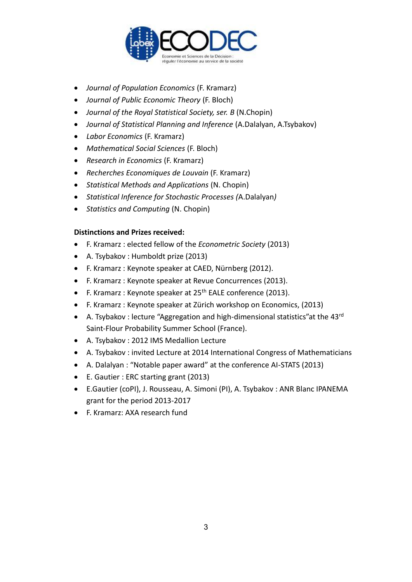

- *Journal of Population Economics* (F. Kramarz)
- *Journal of Public Economic Theory* (F. Bloch)
- *Journal of the Royal Statistical Society, ser. B* (N.Chopin)
- *Journal of Statistical Planning and Inference* (A.Dalalyan, A.Tsybakov)
- *Labor Economics* (F. Kramarz)
- *Mathematical Social Sciences* (F. Bloch)
- *Research in Economics* (F. Kramarz)
- *Recherches Economiques de Louvain* (F. Kramarz)
- *Statistical Methods and Applications* (N. Chopin)
- *Statistical Inference for Stochastic Processes (*A.Dalalyan*)*
- *Statistics and Computing* (N. Chopin)

### **Distinctions and Prizes received:**

- F. Kramarz : elected fellow of the *Econometric Society* (2013)
- A. Tsybakov : Humboldt prize (2013)
- F. Kramarz : Keynote speaker at CAED, Nürnberg (2012).
- F. Kramarz : Keynote speaker at Revue Concurrences (2013).
- F. Kramarz : Keynote speaker at 25<sup>th</sup> EALE conference (2013).
- F. Kramarz : Keynote speaker at Zürich workshop on Economics, (2013)
- A. Tsybakov : lecture "Aggregation and high-dimensional statistics" at the  $43^{\text{rd}}$ Saint-Flour Probability Summer School (France).
- A. Tsybakov : 2012 IMS Medallion Lecture
- A. Tsybakov : invited Lecture at 2014 International Congress of Mathematicians
- A. Dalalyan : "Notable paper award" at the conference AI-STATS (2013)
- E. Gautier : ERC starting grant (2013)
- E.Gautier (coPI), J. Rousseau, A. Simoni (PI), A. Tsybakov : ANR Blanc IPANEMA grant for the period 2013-2017
- F. Kramarz: AXA research fund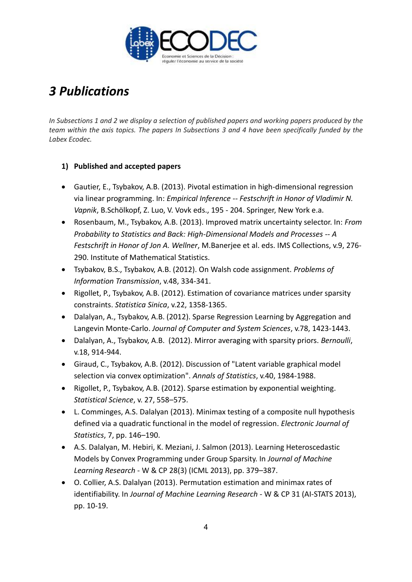

# *3 Publications*

*In Subsections 1 and 2 we display a selection of published papers and working papers produced by the team within the axis topics. The papers In Subsections 3 and 4 have been specifically funded by the Labex Ecodec.*

## **1) Published and accepted papers**

- Gautier, E., Tsybakov, A.B. (2013). Pivotal estimation in high-dimensional regression via linear programming. In: *Empirical Inference -- Festschrift in Honor of Vladimir N. Vapnik*, B.Schölkopf, Z. Luo, V. Vovk eds., 195 - 204. Springer, New York e.a.
- Rosenbaum, M., Tsybakov, A.B. (2013). Improved matrix uncertainty selector. In: *From Probability to Statistics and Back: High-Dimensional Models and Processes -- A Festschrift in Honor of Jon A. Wellner*, M.Banerjee et al. eds. IMS Collections, v.9, 276- 290. Institute of Mathematical Statistics.
- Tsybakov, B.S., Tsybakov, A.B. (2012). On Walsh code assignment. *Problems of Information Transmission*, v.48, 334-341.
- Rigollet, P., Tsybakov, A.B. (2012). Estimation of covariance matrices under sparsity constraints. *Statistica Sinica*, v.22, 1358-1365.
- Dalalyan, A., Tsybakov, A.B. (2012). Sparse Regression Learning by Aggregation and Langevin Monte-Carlo. *Journal of Computer and System Sciences*, v.78, 1423-1443.
- Dalalyan, A., Tsybakov, A.B. (2012). Mirror averaging with sparsity priors. *Bernoulli*, v.18, 914-944.
- Giraud, C., Tsybakov, A.B. (2012). Discussion of "Latent variable graphical model selection via convex optimization". *Annals of Statistics*, v.40, 1984-1988.
- Rigollet, P., Tsybakov, A.B. (2012). Sparse estimation by exponential weighting. *Statistical Science*, v. 27, 558–575.
- L. Comminges, A.S. Dalalyan (2013). Minimax testing of a composite null hypothesis defined via a quadratic functional in the model of regression. *Electronic Journal of Statistics*, 7, pp. 146–190.
- A.S. Dalalyan, M. Hebiri, K. Meziani, J. Salmon (2013). Learning Heteroscedastic Models by Convex Programming under Group Sparsity. In *Journal of Machine Learning Research* - W & CP 28(3) (ICML 2013), pp. 379–387.
- O. Collier, A.S. Dalalyan (2013). Permutation estimation and minimax rates of identifiability. In *Journal of Machine Learning Research* - W & CP 31 (AI-STATS 2013), pp. 10-19.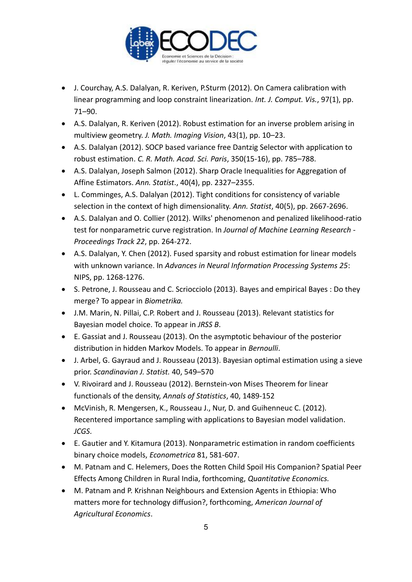

- J. Courchay, A.S. Dalalyan, R. Keriven, P.Sturm (2012). On Camera calibration with linear programming and loop constraint linearization. *Int. J. Comput. Vis.*, 97(1), pp. 71–90.
- A.S. Dalalyan, R. Keriven (2012). Robust estimation for an inverse problem arising in multiview geometry. *J. Math. Imaging Vision*, 43(1), pp. 10–23.
- A.S. Dalalyan (2012). SOCP based variance free Dantzig Selector with application to robust estimation. *C. R. Math. Acad. Sci. Paris*, 350(15-16), pp. 785–788.
- A.S. Dalalyan, Joseph Salmon (2012). Sharp Oracle Inequalities for Aggregation of Affine Estimators. *Ann. Statist*., 40(4), pp. 2327–2355.
- L. Comminges, A.S. Dalalyan (2012). Tight conditions for consistency of variable selection in the context of high dimensionality. *Ann. Statist*, 40(5), pp. 2667-2696.
- A.S. Dalalyan and O. Collier (2012). Wilks' phenomenon and penalized likelihood-ratio test for nonparametric curve registration. In *Journal of Machine Learning Research - Proceedings Track 22*, pp. 264-272.
- A.S. Dalalyan, Y. Chen (2012). Fused sparsity and robust estimation for linear models with unknown variance. In *Advances in Neural Information Processing Systems 25*: NIPS, pp. 1268-1276.
- S. Petrone, J. Rousseau and C. Scriocciolo (2013). Bayes and empirical Bayes : Do they merge? To appear in *Biometrika.*
- J.M. Marin, N. Pillai, C.P. Robert and J. Rousseau (2013). Relevant statistics for Bayesian model choice. To appear in *JRSS B*.
- E. Gassiat and J. Rousseau (2013). On the asymptotic behaviour of the posterior distribution in hidden Markov Models. To appear in *Bernoulli*.
- J. Arbel, G. Gayraud and J. Rousseau (2013). Bayesian optimal estimation using a sieve prior. *Scandinavian J. Statist.* 40, 549–570
- V. Rivoirard and J. Rousseau (2012). Bernstein-von Mises Theorem for linear functionals of the density, *Annals of Statistics*, 40, 1489-152
- McVinish, R. Mengersen, K., Rousseau J., Nur, D. and Guihenneuc C. (2012). Recentered importance sampling with applications to Bayesian model validation. *JCGS*.
- E. Gautier and Y. Kitamura (2013). Nonparametric estimation in random coefficients binary choice models, *Econometrica* 81, 581-607.
- M. Patnam and C. Helemers, Does the Rotten Child Spoil His Companion? Spatial Peer Effects Among Children in Rural India, forthcoming, *Quantitative Economics.*
- M. Patnam and P. Krishnan Neighbours and Extension Agents in Ethiopia: Who matters more for technology diffusion?, forthcoming, *American Journal of Agricultural Economics*.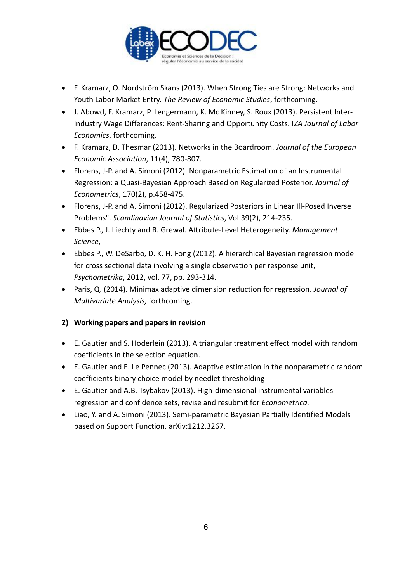

- F. Kramarz, O. Nordström Skans (2013). When Strong Ties are Strong: Networks and Youth Labor Market Entry. *The Review of Economic Studies*, forthcoming.
- J. Abowd, F. Kramarz, P. Lengermann, K. Mc Kinney, S. Roux (2013). Persistent Inter-Industry Wage Differences: Rent-Sharing and Opportunity Costs. I*ZA Journal of Labor Economics*, forthcoming.
- F. Kramarz, D. Thesmar (2013). Networks in the Boardroom. *Journal of the European Economic Association*, 11(4), 780-807.
- Florens, J-P. and A. Simoni (2012). Nonparametric Estimation of an Instrumental Regression: a Quasi-Bayesian Approach Based on Regularized Posterior. *Journal of Econometrics*, 170(2), p.458-475.
- Florens, J-P. and A. Simoni (2012). Regularized Posteriors in Linear Ill-Posed Inverse Problems". *Scandinavian Journal of Statistics*, Vol.39(2), 214-235.
- Ebbes P., J. Liechty and R. Grewal. Attribute-Level Heterogeneity. *Management Science*,
- Ebbes P., W. DeSarbo, D. K. H. Fong (2012). A hierarchical Bayesian regression model for cross sectional data involving a single observation per response unit, *Psychometrika*, 2012, vol. 77, pp. 293-314.
- Paris, Q. (2014). Minimax adaptive dimension reduction for regression. *Journal of Multivariate Analysis,* forthcoming.

## **2) Working papers and papers in revision**

- E. Gautier and S. Hoderlein (2013). A triangular treatment effect model with random coefficients in the selection equation.
- E. Gautier and E. Le Pennec (2013). Adaptive estimation in the nonparametric random coefficients binary choice model by needlet thresholding
- E. Gautier and A.B. Tsybakov (2013). High-dimensional instrumental variables regression and confidence sets, revise and resubmit for *Econometrica.*
- Liao, Y. and A. Simoni (2013). Semi-parametric Bayesian Partially Identified Models based on Support Function. arXiv:1212.3267.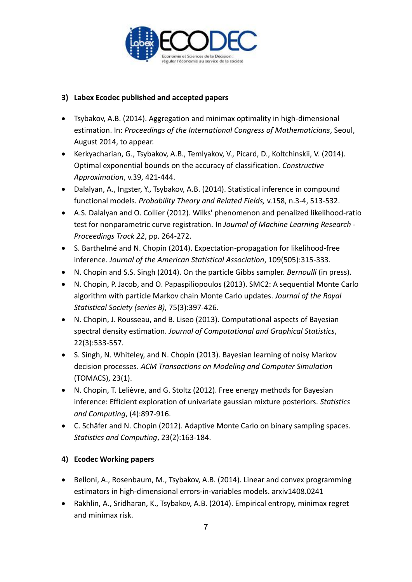

## **3) Labex Ecodec published and accepted papers**

- Tsybakov, A.B. (2014). Aggregation and minimax optimality in high-dimensional estimation. In: *Proceedings of the International Congress of Mathematicians*, Seoul, August 2014, to appear.
- Kerkyacharian, G., Tsybakov, A.B., Temlyakov, V., Picard, D., Koltchinskii, V. (2014). Optimal exponential bounds on the accuracy of classification. *Constructive Approximation*, v.39, 421-444.
- Dalalyan, A., Ingster, Y., Tsybakov, A.B. (2014). Statistical inference in compound functional models. *Probability Theory and Related Fields,* v.158, n.3-4, 513-532.
- A.S. Dalalyan and O. Collier (2012). Wilks' phenomenon and penalized likelihood-ratio test for nonparametric curve registration. In *Journal of Machine Learning Research - Proceedings Track 22*, pp. 264-272.
- S. Barthelmé and N. Chopin (2014). Expectation-propagation for likelihood-free inference. *Journal of the American Statistical Association*, 109(505):315-333.
- N. Chopin and S.S. Singh (2014). On the particle Gibbs sampler. *Bernoulli* (in press).
- N. Chopin, P. Jacob, and O. Papaspiliopoulos (2013). SMC2: A sequential Monte Carlo algorithm with particle Markov chain Monte Carlo updates. *Journal of the Royal Statistical Society (series B)*, 75(3):397-426.
- N. Chopin, J. Rousseau, and B. Liseo (2013). Computational aspects of Bayesian spectral density estimation. *Journal of Computational and Graphical Statistics*, 22(3):533-557.
- S. Singh, N. Whiteley, and N. Chopin (2013). Bayesian learning of noisy Markov decision processes. *ACM Transactions on Modeling and Computer Simulation*  (TOMACS), 23(1).
- N. Chopin, T. Lelièvre, and G. Stoltz (2012). Free energy methods for Bayesian inference: Efficient exploration of univariate gaussian mixture posteriors. *Statistics and Computing*, (4):897-916.
- C. Schäfer and N. Chopin (2012). Adaptive Monte Carlo on binary sampling spaces. *Statistics and Computing*, 23(2):163-184.

## **4) Ecodec Working papers**

- Belloni, A., Rosenbaum, M., Tsybakov, A.B. (2014). Linear and convex programming estimators in high-dimensional errors-in-variables models. arxiv1408.0241
- Rakhlin, A., Sridharan, K., Tsybakov, A.B. (2014). Empirical entropy, minimax regret and minimax risk.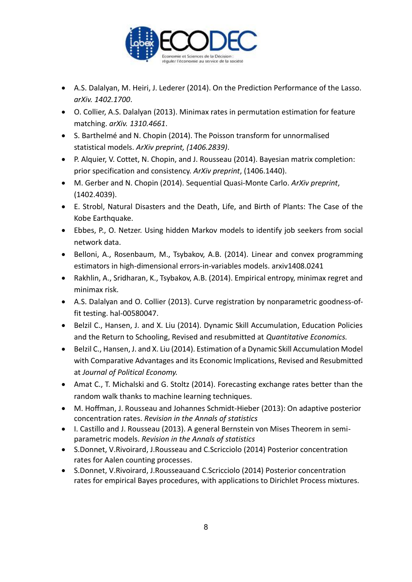

- A.S. Dalalyan, M. Heiri, J. Lederer (2014). On the Prediction Performance of the Lasso. *arXiv. 1402.1700*.
- O. Collier, A.S. Dalalyan (2013). Minimax rates in permutation estimation for feature matching. *arXiv. 1310.4661*.
- S. Barthelmé and N. Chopin (2014). The Poisson transform for unnormalised statistical models. *ArXiv preprint, (1406.2839)*.
- P. Alquier, V. Cottet, N. Chopin, and J. Rousseau (2014). Bayesian matrix completion: prior specification and consistency. *ArXiv preprint*, (1406.1440).
- M. Gerber and N. Chopin (2014). Sequential Quasi-Monte Carlo. *ArXiv preprint*, (1402.4039).
- E. Strobl, Natural Disasters and the Death, Life, and Birth of Plants: The Case of the Kobe Earthquake.
- Ebbes, P., O. Netzer. Using hidden Markov models to identify job seekers from social network data.
- Belloni, A., Rosenbaum, M., Tsybakov, A.B. (2014). Linear and convex programming estimators in high-dimensional errors-in-variables models. arxiv1408.0241
- Rakhlin, A., Sridharan, K., Tsybakov, A.B. (2014). Empirical entropy, minimax regret and minimax risk.
- A.S. Dalalyan and O. Collier (2013). Curve registration by nonparametric goodness-offit testing. hal-00580047.
- Belzil C., Hansen, J. and X. Liu (2014). Dynamic Skill Accumulation, Education Policies and the Return to Schooling, Revised and resubmitted at *Quantitative Economics.*
- Belzil C., Hansen, J. and X. Liu (2014). Estimation of a Dynamic Skill Accumulation Model with Comparative Advantages and its Economic Implications, Revised and Resubmitted at *Journal of Political Economy.*
- Amat C., T. Michalski and G. Stoltz (2014). Forecasting exchange rates better than the random walk thanks to machine learning techniques.
- M. Hoffman, J. Rousseau and Johannes Schmidt-Hieber (2013): On adaptive posterior concentration rates. *Revision in the Annals of statistics*
- I. Castillo and J. Rousseau (2013). A general Bernstein von Mises Theorem in semiparametric models. *Revision in the Annals of statistics*
- S.Donnet, V.Rivoirard, J.Rousseau and C.Scricciolo (2014) Posterior concentration rates for Aalen counting processes.
- S.Donnet, V.Rivoirard, J.Rousseauand C.Scricciolo (2014) Posterior concentration rates for empirical Bayes procedures, with applications to Dirichlet Process mixtures.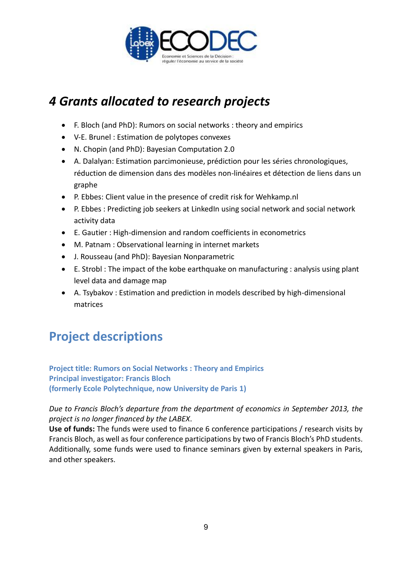

# *4 Grants allocated to research projects*

- F. Bloch (and PhD): Rumors on social networks : theory and empirics
- V-E. Brunel : Estimation de polytopes convexes
- N. Chopin (and PhD): Bayesian Computation 2.0
- A. Dalalyan: Estimation parcimonieuse, prédiction pour les séries chronologiques, réduction de dimension dans des modèles non-linéaires et détection de liens dans un graphe
- P. Ebbes: Client value in the presence of credit risk for Wehkamp.nl
- P. Ebbes : Predicting job seekers at LinkedIn using social network and social network activity data
- E. Gautier : High-dimension and random coefficients in econometrics
- M. Patnam : Observational learning in internet markets
- J. Rousseau (and PhD): Bayesian Nonparametric
- E. Strobl : The impact of the kobe earthquake on manufacturing : analysis using plant level data and damage map
- A. Tsybakov : Estimation and prediction in models described by high-dimensional matrices

# **Project descriptions**

**Project title: Rumors on Social Networks : Theory and Empirics Principal investigator: Francis Bloch (formerly Ecole Polytechnique, now University de Paris 1)**

*Due to Francis Bloch's departure from the department of economics in September 2013, the project is no longer financed by the LABEX*.

**Use of funds:** The funds were used to finance 6 conference participations / research visits by Francis Bloch, as well as four conference participations by two of Francis Bloch's PhD students. Additionally, some funds were used to finance seminars given by external speakers in Paris, and other speakers.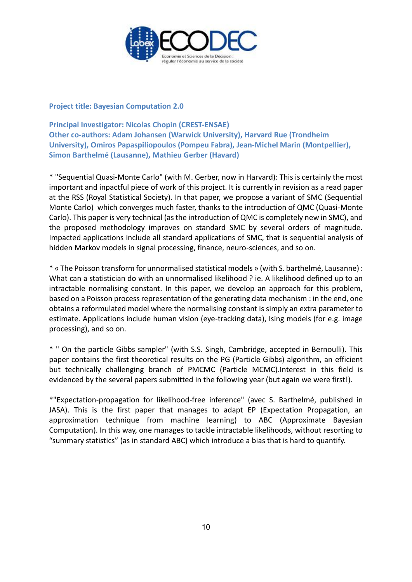

**Project title: Bayesian Computation 2.0**

**Principal Investigator: Nicolas Chopin (CREST-ENSAE) Other co-authors: Adam Johansen (Warwick University), Harvard Rue (Trondheim University), Omiros Papaspiliopoulos (Pompeu Fabra), Jean-Michel Marin (Montpellier), Simon Barthelmé (Lausanne), Mathieu Gerber (Havard)** 

\* "Sequential Quasi-Monte Carlo" (with M. Gerber, now in Harvard): This is certainly the most important and inpactful piece of work of this project. It is currently in revision as a read paper at the RSS (Royal Statistical Society). In that paper, we propose a variant of SMC (Sequential Monte Carlo) which converges much faster, thanks to the introduction of QMC (Quasi-Monte Carlo). This paper is very technical (as the introduction of QMC is completely new in SMC), and the proposed methodology improves on standard SMC by several orders of magnitude. Impacted applications include all standard applications of SMC, that is sequential analysis of hidden Markov models in signal processing, finance, neuro-sciences, and so on.

\* « The Poisson transform for unnormalised statistical models » (with S. barthelmé, Lausanne) : What can a statistician do with an unnormalised likelihood ? ie. A likelihood defined up to an intractable normalising constant. In this paper, we develop an approach for this problem, based on a Poisson process representation of the generating data mechanism : in the end, one obtains a reformulated model where the normalising constant is simply an extra parameter to estimate. Applications include human vision (eye-tracking data), Ising models (for e.g. image processing), and so on.

\* " On the particle Gibbs sampler" (with S.S. Singh, Cambridge, accepted in Bernoulli). This paper contains the first theoretical results on the PG (Particle Gibbs) algorithm, an efficient but technically challenging branch of PMCMC (Particle MCMC).Interest in this field is evidenced by the several papers submitted in the following year (but again we were first!).

\*"Expectation-propagation for likelihood-free inference" (avec S. Barthelmé, published in JASA). This is the first paper that manages to adapt EP (Expectation Propagation, an approximation technique from machine learning) to ABC (Approximate Bayesian Computation). In this way, one manages to tackle intractable likelihoods, without resorting to "summary statistics" (as in standard ABC) which introduce a bias that is hard to quantify.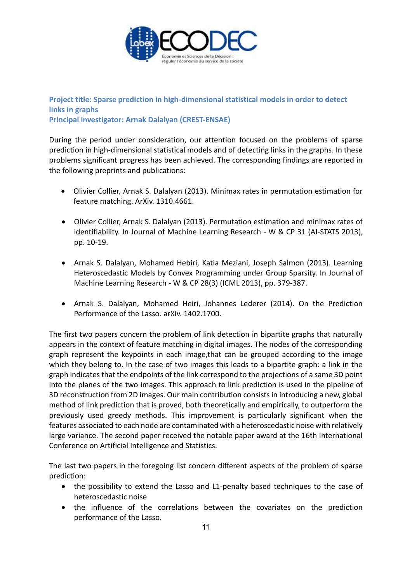

**Project title: Sparse prediction in high-dimensional statistical models in order to detect links in graphs Principal investigator: Arnak Dalalyan (CREST-ENSAE)**

During the period under consideration, our attention focused on the problems of sparse prediction in high-dimensional statistical models and of detecting links in the graphs. In these problems significant progress has been achieved. The corresponding findings are reported in the following preprints and publications:

- Olivier Collier, Arnak S. Dalalyan (2013). Minimax rates in permutation estimation for feature matching. ArXiv. 1310.4661.
- Olivier Collier, Arnak S. Dalalyan (2013). Permutation estimation and minimax rates of identifiability. In Journal of Machine Learning Research - W & CP 31 (AI-STATS 2013), pp. 10-19.
- Arnak S. Dalalyan, Mohamed Hebiri, Katia Meziani, Joseph Salmon (2013). Learning Heteroscedastic Models by Convex Programming under Group Sparsity. In Journal of Machine Learning Research - W & CP 28(3) (ICML 2013), pp. 379-387.
- Arnak S. Dalalyan, Mohamed Heiri, Johannes Lederer (2014). On the Prediction Performance of the Lasso. arXiv. 1402.1700.

The first two papers concern the problem of link detection in bipartite graphs that naturally appears in the context of feature matching in digital images. The nodes of the corresponding graph represent the keypoints in each image,that can be grouped according to the image which they belong to. In the case of two images this leads to a bipartite graph: a link in the graph indicates that the endpoints of the link correspond to the projections of a same 3D point into the planes of the two images. This approach to link prediction is used in the pipeline of 3D reconstruction from 2D images. Our main contribution consists in introducing a new, global method of link prediction that is proved, both theoretically and empirically, to outperform the previously used greedy methods. This improvement is particularly significant when the features associated to each node are contaminated with a heteroscedastic noise with relatively large variance. The second paper received the notable paper award at the 16th International Conference on Artificial Intelligence and Statistics.

The last two papers in the foregoing list concern different aspects of the problem of sparse prediction:

- the possibility to extend the Lasso and L1-penalty based techniques to the case of heteroscedastic noise
- the influence of the correlations between the covariates on the prediction performance of the Lasso.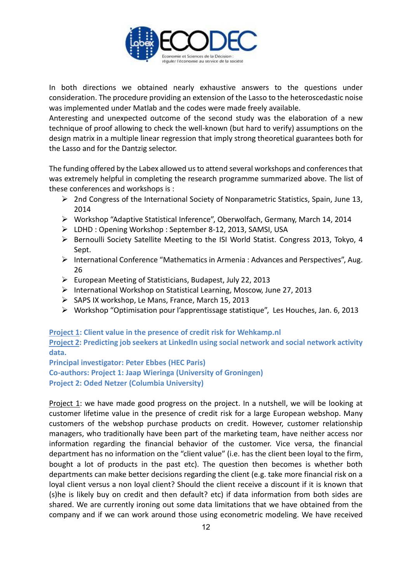

In both directions we obtained nearly exhaustive answers to the questions under consideration. The procedure providing an extension of the Lasso to the heteroscedastic noise was implemented under Matlab and the codes were made freely available.

Anteresting and unexpected outcome of the second study was the elaboration of a new technique of proof allowing to check the well-known (but hard to verify) assumptions on the design matrix in a multiple linear regression that imply strong theoretical guarantees both for the Lasso and for the Dantzig selector.

The funding offered by the Labex allowed us to attend several workshops and conferences that was extremely helpful in completing the research programme summarized above. The list of these conferences and workshops is :

- $\triangleright$  2nd Congress of the International Society of Nonparametric Statistics, Spain, June 13, 2014
- Workshop "Adaptive Statistical Inference", Oberwolfach, Germany, March 14, 2014
- LDHD : Opening Workshop : September 8-12, 2013, SAMSI, USA
- Bernoulli Society Satellite Meeting to the ISI World Statist. Congress 2013, Tokyo, 4 Sept.
- $\triangleright$  International Conference "Mathematics in Armenia : Advances and Perspectives", Aug. 26
- European Meeting of Statisticians, Budapest, July 22, 2013
- International Workshop on Statistical Learning, Moscow, June 27, 2013
- $\triangleright$  SAPS IX workshop, Le Mans, France, March 15, 2013
- Workshop "Optimisation pour l'apprentissage statistique", Les Houches, Jan. 6, 2013

**Project 1: Client value in the presence of credit risk for Wehkamp.nl Project 2: Predicting job seekers at LinkedIn using social network and social network activity data.**

**Principal investigator: Peter Ebbes (HEC Paris) Co-authors: Project 1: Jaap Wieringa (University of Groningen) Project 2: Oded Netzer (Columbia University)**

Project 1: we have made good progress on the project. In a nutshell, we will be looking at customer lifetime value in the presence of credit risk for a large European webshop. Many customers of the webshop purchase products on credit. However, customer relationship managers, who traditionally have been part of the marketing team, have neither access nor information regarding the financial behavior of the customer. Vice versa, the financial department has no information on the "client value" (i.e. has the client been loyal to the firm, bought a lot of products in the past etc). The question then becomes is whether both departments can make better decisions regarding the client (e.g. take more financial risk on a loyal client versus a non loyal client? Should the client receive a discount if it is known that (s)he is likely buy on credit and then default? etc) if data information from both sides are shared. We are currently ironing out some data limitations that we have obtained from the company and if we can work around those using econometric modeling. We have received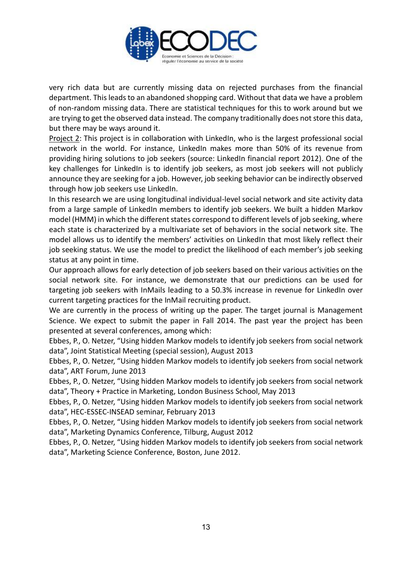

very rich data but are currently missing data on rejected purchases from the financial department. This leads to an abandoned shopping card. Without that data we have a problem of non-random missing data. There are statistical techniques for this to work around but we are trying to get the observed data instead. The company traditionally does not store this data, but there may be ways around it.

Project 2: This project is in collaboration with LinkedIn, who is the largest professional social network in the world. For instance, LinkedIn makes more than 50% of its revenue from providing hiring solutions to job seekers (source: LinkedIn financial report 2012). One of the key challenges for LinkedIn is to identify job seekers, as most job seekers will not publicly announce they are seeking for a job. However, job seeking behavior can be indirectly observed through how job seekers use LinkedIn.

In this research we are using longitudinal individual-level social network and site activity data from a large sample of LinkedIn members to identify job seekers. We built a hidden Markov model (HMM) in which the different states correspond to different levels of job seeking, where each state is characterized by a multivariate set of behaviors in the social network site. The model allows us to identify the members' activities on LinkedIn that most likely reflect their job seeking status. We use the model to predict the likelihood of each member's job seeking status at any point in time.

Our approach allows for early detection of job seekers based on their various activities on the social network site. For instance, we demonstrate that our predictions can be used for targeting job seekers with InMails leading to a 50.3% increase in revenue for LinkedIn over current targeting practices for the InMail recruiting product.

We are currently in the process of writing up the paper. The target journal is Management Science. We expect to submit the paper in Fall 2014. The past year the project has been presented at several conferences, among which:

Ebbes, P., O. Netzer, "Using hidden Markov models to identify job seekers from social network data", Joint Statistical Meeting (special session), August 2013

Ebbes, P., O. Netzer, "Using hidden Markov models to identify job seekers from social network data", ART Forum, June 2013

Ebbes, P., O. Netzer, "Using hidden Markov models to identify job seekers from social network data", Theory + Practice in Marketing, London Business School, May 2013

Ebbes, P., O. Netzer, "Using hidden Markov models to identify job seekers from social network data", HEC-ESSEC-INSEAD seminar, February 2013

Ebbes, P., O. Netzer, "Using hidden Markov models to identify job seekers from social network data", Marketing Dynamics Conference, Tilburg, August 2012

Ebbes, P., O. Netzer, "Using hidden Markov models to identify job seekers from social network data", Marketing Science Conference, Boston, June 2012.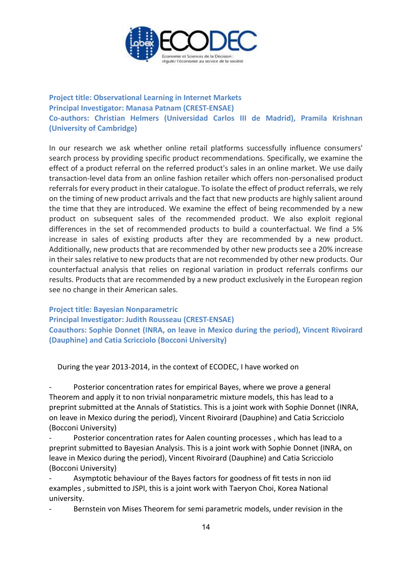

## **Project title: Observational Learning in Internet Markets Principal Investigator: Manasa Patnam (CREST-ENSAE) Co-authors: Christian Helmers (Universidad Carlos III de Madrid), Pramila Krishnan (University of Cambridge)**

In our research we ask whether online retail platforms successfully influence consumers' search process by providing specific product recommendations. Specifically, we examine the effect of a product referral on the referred product's sales in an online market. We use daily transaction-level data from an online fashion retailer which offers non-personalised product referrals for every product in their catalogue. To isolate the effect of product referrals, we rely on the timing of new product arrivals and the fact that new products are highly salient around the time that they are introduced. We examine the effect of being recommended by a new product on subsequent sales of the recommended product. We also exploit regional differences in the set of recommended products to build a counterfactual. We find a 5% increase in sales of existing products after they are recommended by a new product. Additionally, new products that are recommended by other new products see a 20% increase in their sales relative to new products that are not recommended by other new products. Our counterfactual analysis that relies on regional variation in product referrals confirms our results. Products that are recommended by a new product exclusively in the European region see no change in their American sales.

**Project title: Bayesian Nonparametric**

**Principal Investigator: Judith Rousseau (CREST-ENSAE) Coauthors: Sophie Donnet (INRA, on leave in Mexico during the period), Vincent Rivoirard (Dauphine) and Catia Scricciolo (Bocconi University)** 

During the year 2013-2014, in the context of ECODEC, I have worked on

Posterior concentration rates for empirical Bayes, where we prove a general Theorem and apply it to non trivial nonparametric mixture models, this has lead to a preprint submitted at the Annals of Statistics. This is a joint work with Sophie Donnet (INRA, on leave in Mexico during the period), Vincent Rivoirard (Dauphine) and Catia Scricciolo (Bocconi University)

Posterior concentration rates for Aalen counting processes, which has lead to a preprint submitted to Bayesian Analysis. This is a joint work with Sophie Donnet (INRA, on leave in Mexico during the period), Vincent Rivoirard (Dauphine) and Catia Scricciolo (Bocconi University)

Asymptotic behaviour of the Bayes factors for goodness of fit tests in non iid examples , submitted to JSPI, this is a joint work with Taeryon Choi, Korea National university.

Bernstein von Mises Theorem for semi parametric models, under revision in the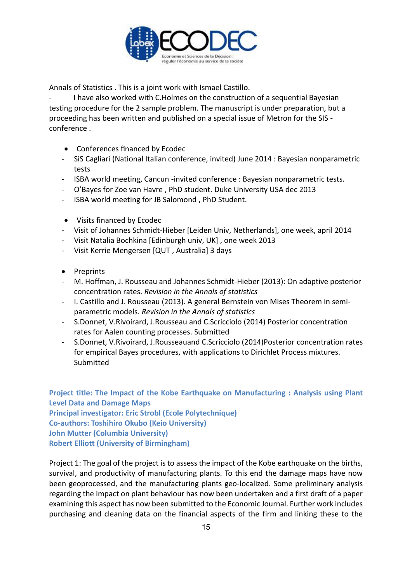

Annals of Statistics . This is a joint work with Ismael Castillo.

I have also worked with C.Holmes on the construction of a sequential Bayesian testing procedure for the 2 sample problem. The manuscript is under preparation, but a proceeding has been written and published on a special issue of Metron for the SIS conference .

- Conferences financed by Ecodec
- SiS Cagliari (National Italian conference, invited) June 2014 : Bayesian nonparametric tests
- ISBA world meeting, Cancun -invited conference : Bayesian nonparametric tests.
- O'Bayes for Zoe van Havre , PhD student. Duke University USA dec 2013
- ISBA world meeting for JB Salomond , PhD Student.
- Visits financed by Ecodec
- Visit of Johannes Schmidt-Hieber [Leiden Univ, Netherlands], one week, april 2014
- Visit Natalia Bochkina [Edinburgh univ, UK] , one week 2013
- Visit Kerrie Mengersen [QUT , Australia] 3 days
- Preprints
- M. Hoffman, J. Rousseau and Johannes Schmidt-Hieber (2013): On adaptive posterior concentration rates. *Revision in the Annals of statistics*
- I. Castillo and J. Rousseau (2013). A general Bernstein von Mises Theorem in semiparametric models. *Revision in the Annals of statistics*
- S.Donnet, V.Rivoirard, J.Rousseau and C.Scricciolo (2014) Posterior concentration rates for Aalen counting processes. Submitted
- S.Donnet, V.Rivoirard, J.Rousseauand C.Scricciolo (2014)Posterior concentration rates for empirical Bayes procedures, with applications to Dirichlet Process mixtures. Submitted

**Project title: The Impact of the Kobe Earthquake on Manufacturing : Analysis using Plant Level Data and Damage Maps Principal investigator: Eric Strobl (Ecole Polytechnique) Co-authors: Toshihiro Okubo (Keio University) John Mutter (Columbia University) Robert Elliott (University of Birmingham)**

Project 1: The goal of the project is to assess the impact of the Kobe earthquake on the births, survival, and productivity of manufacturing plants. To this end the damage maps have now been geoprocessed, and the manufacturing plants geo-localized. Some preliminary analysis regarding the impact on plant behaviour has now been undertaken and a first draft of a paper examining this aspect has now been submitted to the Economic Journal. Further work includes purchasing and cleaning data on the financial aspects of the firm and linking these to the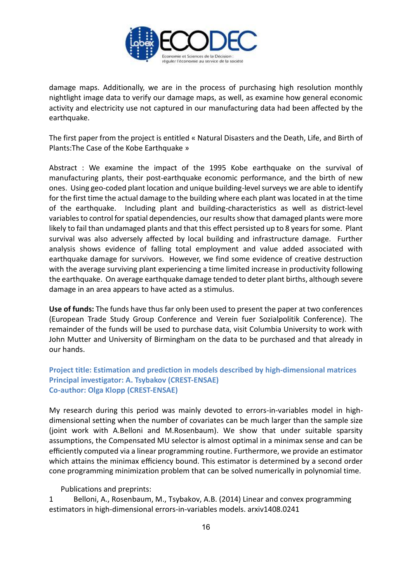

damage maps. Additionally, we are in the process of purchasing high resolution monthly nightlight image data to verify our damage maps, as well, as examine how general economic activity and electricity use not captured in our manufacturing data had been affected by the earthquake.

The first paper from the project is entitled « Natural Disasters and the Death, Life, and Birth of Plants:The Case of the Kobe Earthquake »

Abstract : We examine the impact of the 1995 Kobe earthquake on the survival of manufacturing plants, their post-earthquake economic performance, and the birth of new ones. Using geo-coded plant location and unique building-level surveys we are able to identify for the first time the actual damage to the building where each plant was located in at the time of the earthquake. Including plant and building-characteristics as well as district-level variables to control for spatial dependencies, our results show that damaged plants were more likely to fail than undamaged plants and that this effect persisted up to 8 years for some. Plant survival was also adversely affected by local building and infrastructure damage. Further analysis shows evidence of falling total employment and value added associated with earthquake damage for survivors. However, we find some evidence of creative destruction with the average surviving plant experiencing a time limited increase in productivity following the earthquake. On average earthquake damage tended to deter plant births, although severe damage in an area appears to have acted as a stimulus.

**Use of funds:** The funds have thus far only been used to present the paper at two conferences (European Trade Study Group Conference and Verein fuer Sozialpolitik Conference). The remainder of the funds will be used to purchase data, visit Columbia University to work with John Mutter and University of Birmingham on the data to be purchased and that already in our hands.

## **Project title: Estimation and prediction in models described by high-dimensional matrices Principal investigator: A. Tsybakov (CREST-ENSAE) Co-author: Olga Klopp (CREST-ENSAE)**

My research during this period was mainly devoted to errors-in-variables model in highdimensional setting when the number of covariates can be much larger than the sample size (joint work with A.Belloni and M.Rosenbaum). We show that under suitable sparsity assumptions, the Compensated MU selector is almost optimal in a minimax sense and can be efficiently computed via a linear programming routine. Furthermore, we provide an estimator which attains the minimax efficiency bound. This estimator is determined by a second order cone programming minimization problem that can be solved numerically in polynomial time.

Publications and preprints:

1 Belloni, A., Rosenbaum, M., Tsybakov, A.B. (2014) Linear and convex programming estimators in high-dimensional errors-in-variables models. arxiv1408.0241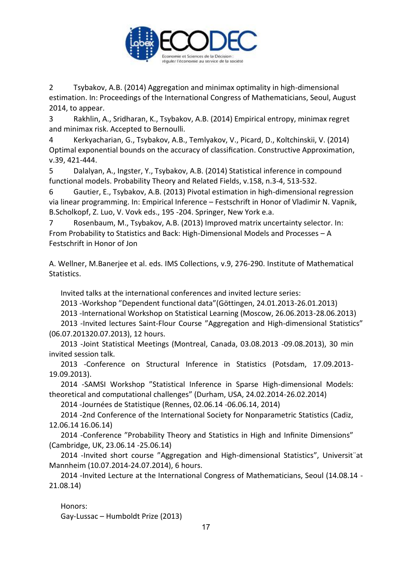

2 Tsybakov, A.B. (2014) Aggregation and minimax optimality in high-dimensional estimation. In: Proceedings of the International Congress of Mathematicians, Seoul, August 2014, to appear.

3 Rakhlin, A., Sridharan, K., Tsybakov, A.B. (2014) Empirical entropy, minimax regret and minimax risk. Accepted to Bernoulli.

4 Kerkyacharian, G., Tsybakov, A.B., Temlyakov, V., Picard, D., Koltchinskii, V. (2014) Optimal exponential bounds on the accuracy of classification. Constructive Approximation, v.39, 421-444.

5 Dalalyan, A., Ingster, Y., Tsybakov, A.B. (2014) Statistical inference in compound functional models. Probability Theory and Related Fields, v.158, n.3-4, 513-532.

6 Gautier, E., Tsybakov, A.B. (2013) Pivotal estimation in high-dimensional regression via linear programming. In: Empirical Inference – Festschrift in Honor of Vladimir N. Vapnik, B.Scholkopf, Z. Luo, V. Vovk eds., 195 -204. Springer, New York e.a.

7 Rosenbaum, M., Tsybakov, A.B. (2013) Improved matrix uncertainty selector. In: From Probability to Statistics and Back: High-Dimensional Models and Processes – A Festschrift in Honor of Jon

A. Wellner, M.Banerjee et al. eds. IMS Collections, v.9, 276-290. Institute of Mathematical Statistics.

Invited talks at the international conferences and invited lecture series:

2013 -Workshop "Dependent functional data"(Göttingen, 24.01.2013-26.01.2013)

2013 -International Workshop on Statistical Learning (Moscow, 26.06.2013-28.06.2013)

2013 -Invited lectures Saint-Flour Course "Aggregation and High-dimensional Statistics" (06.07.201320.07.2013), 12 hours.

2013 -Joint Statistical Meetings (Montreal, Canada, 03.08.2013 -09.08.2013), 30 min invited session talk.

2013 -Conference on Structural Inference in Statistics (Potsdam, 17.09.2013- 19.09.2013).

2014 -SAMSI Workshop "Statistical Inference in Sparse High-dimensional Models: theoretical and computational challenges" (Durham, USA, 24.02.2014-26.02.2014)

2014 -Journées de Statistique (Rennes, 02.06.14 -06.06.14, 2014)

2014 -2nd Conference of the International Society for Nonparametric Statistics (Cadiz, 12.06.14 16.06.14)

2014 -Conference "Probability Theory and Statistics in High and Infinite Dimensions" (Cambridge, UK, 23.06.14 -25.06.14)

2014 -Invited short course "Aggregation and High-dimensional Statistics", Universit¨at Mannheim (10.07.2014-24.07.2014), 6 hours.

2014 -Invited Lecture at the International Congress of Mathematicians, Seoul (14.08.14 - 21.08.14)

Honors: Gay-Lussac – Humboldt Prize (2013)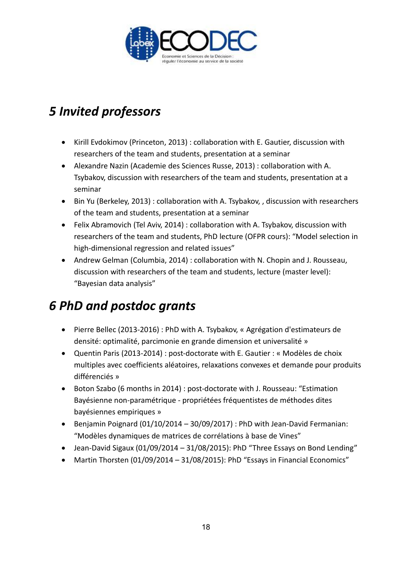

# *5 Invited professors*

- Kirill Evdokimov (Princeton, 2013) : collaboration with E. Gautier, discussion with researchers of the team and students, presentation at a seminar
- Alexandre Nazin (Academie des Sciences Russe, 2013) : collaboration with A. Tsybakov, discussion with researchers of the team and students, presentation at a seminar
- Bin Yu (Berkeley, 2013): collaboration with A. Tsybakov, , discussion with researchers of the team and students, presentation at a seminar
- Felix Abramovich (Tel Aviv, 2014) : collaboration with A. Tsybakov, discussion with researchers of the team and students, PhD lecture (OFPR cours): "Model selection in high-dimensional regression and related issues"
- Andrew Gelman (Columbia, 2014) : collaboration with N. Chopin and J. Rousseau, discussion with researchers of the team and students, lecture (master level): "Bayesian data analysis"

# *6 PhD and postdoc grants*

- Pierre Bellec (2013-2016) : PhD with A. Tsybakov, « Agrégation d'estimateurs de densité: optimalité, parcimonie en grande dimension et universalité »
- Quentin Paris (2013-2014) : post-doctorate with E. Gautier : « Modèles de choix multiples avec coefficients aléatoires, relaxations convexes et demande pour produits différenciés »
- Boton Szabo (6 months in 2014) : post-doctorate with J. Rousseau: "Estimation Bayésienne non-paramétrique - propriétées fréquentistes de méthodes dites bayésiennes empiriques »
- **•** Benjamin Poignard (01/10/2014 30/09/2017) : PhD with Jean-David Fermanian: "Modèles dynamiques de matrices de corrélations à base de Vines"
- Jean-David Sigaux (01/09/2014 31/08/2015): PhD "Three Essays on Bond Lending"
- Martin Thorsten (01/09/2014 31/08/2015): PhD "Essays in Financial Economics"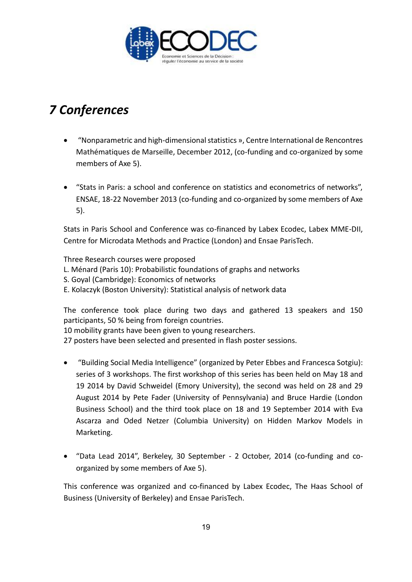

# *7 Conferences*

- "Nonparametric and high-dimensional statistics », Centre International de Rencontres Mathématiques de Marseille, December 2012, (co-funding and co-organized by some members of Axe 5).
- "Stats in Paris: a school and conference on statistics and econometrics of networks", ENSAE, 18-22 November 2013 (co-funding and co-organized by some members of Axe 5).

Stats in Paris School and Conference was co-financed by Labex Ecodec, Labex MME-DII, Centre for Microdata Methods and Practice (London) and Ensae ParisTech.

Three Research courses were proposed L. Ménard (Paris 10): Probabilistic foundations of graphs and networks S. Goyal (Cambridge): Economics of networks

E. Kolaczyk (Boston University): Statistical analysis of network data

The conference took place during two days and gathered 13 speakers and 150 participants, 50 % being from foreign countries.

10 mobility grants have been given to young researchers.

27 posters have been selected and presented in flash poster sessions.

- "Building Social Media Intelligence" (organized by Peter Ebbes and Francesca Sotgiu): series of 3 workshops. The first workshop of this series has been held on May 18 and 19 2014 by David Schweidel (Emory University), the second was held on 28 and 29 August 2014 by Pete Fader (University of Pennsylvania) and Bruce Hardie (London Business School) and the third took place on 18 and 19 September 2014 with Eva Ascarza and Oded Netzer (Columbia University) on Hidden Markov Models in Marketing.
- "Data Lead 2014", Berkeley, 30 September 2 October, 2014 (co-funding and coorganized by some members of Axe 5).

This conference was organized and co-financed by Labex Ecodec, The Haas School of Business (University of Berkeley) and Ensae ParisTech.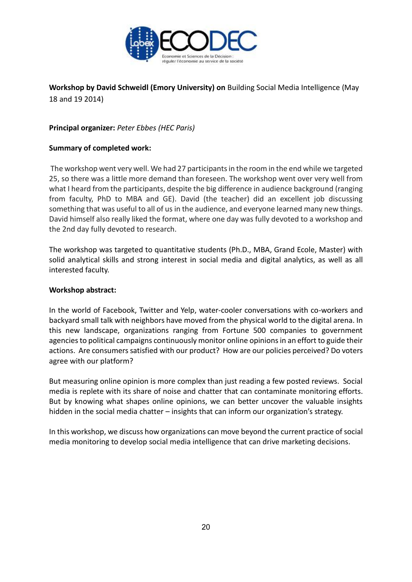

**Workshop by David Schweidl (Emory University) on** Building Social Media Intelligence (May 18 and 19 2014)

**Principal organizer:** *Peter Ebbes (HEC Paris)*

### **Summary of completed work:**

The workshop went very well. We had 27 participants in the room in the end while we targeted 25, so there was a little more demand than foreseen. The workshop went over very well from what I heard from the participants, despite the big difference in audience background (ranging from faculty, PhD to MBA and GE). David (the teacher) did an excellent job discussing something that was useful to all of us in the audience, and everyone learned many new things. David himself also really liked the format, where one day was fully devoted to a workshop and the 2nd day fully devoted to research.

The workshop was targeted to quantitative students (Ph.D., MBA, Grand Ecole, Master) with solid analytical skills and strong interest in social media and digital analytics, as well as all interested faculty.

### **Workshop abstract:**

In the world of Facebook, Twitter and Yelp, water-cooler conversations with co-workers and backyard small talk with neighbors have moved from the physical world to the digital arena. In this new landscape, organizations ranging from Fortune 500 companies to government agencies to political campaigns continuously monitor online opinions in an effort to guide their actions. Are consumers satisfied with our product? How are our policies perceived? Do voters agree with our platform?

But measuring online opinion is more complex than just reading a few posted reviews. Social media is replete with its share of noise and chatter that can contaminate monitoring efforts. But by knowing what shapes online opinions, we can better uncover the valuable insights hidden in the social media chatter – insights that can inform our organization's strategy.

In this workshop, we discuss how organizations can move beyond the current practice of social media monitoring to develop social media intelligence that can drive marketing decisions.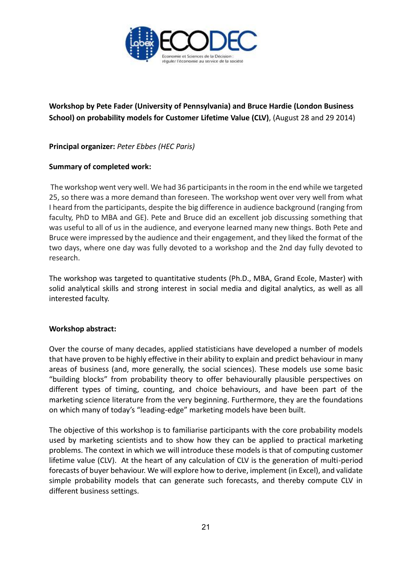

# **Workshop by Pete Fader (University of Pennsylvania) and Bruce Hardie (London Business School) on probability models for Customer Lifetime Value (CLV)**, (August 28 and 29 2014)

**Principal organizer:** *Peter Ebbes (HEC Paris)*

### **Summary of completed work:**

The workshop went very well. We had 36 participants in the room in the end while we targeted 25, so there was a more demand than foreseen. The workshop went over very well from what I heard from the participants, despite the big difference in audience background (ranging from faculty, PhD to MBA and GE). Pete and Bruce did an excellent job discussing something that was useful to all of us in the audience, and everyone learned many new things. Both Pete and Bruce were impressed by the audience and their engagement, and they liked the format of the two days, where one day was fully devoted to a workshop and the 2nd day fully devoted to research.

The workshop was targeted to quantitative students (Ph.D., MBA, Grand Ecole, Master) with solid analytical skills and strong interest in social media and digital analytics, as well as all interested faculty.

### **Workshop abstract:**

Over the course of many decades, applied statisticians have developed a number of models that have proven to be highly effective in their ability to explain and predict behaviour in many areas of business (and, more generally, the social sciences). These models use some basic "building blocks" from probability theory to offer behaviourally plausible perspectives on different types of timing, counting, and choice behaviours, and have been part of the marketing science literature from the very beginning. Furthermore, they are the foundations on which many of today's "leading-edge" marketing models have been built.

The objective of this workshop is to familiarise participants with the core probability models used by marketing scientists and to show how they can be applied to practical marketing problems. The context in which we will introduce these models is that of computing customer lifetime value (CLV). At the heart of any calculation of CLV is the generation of multi-period forecasts of buyer behaviour. We will explore how to derive, implement (in Excel), and validate simple probability models that can generate such forecasts, and thereby compute CLV in different business settings.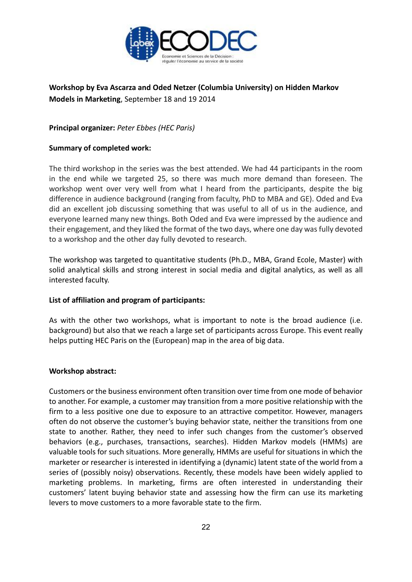

## **Workshop by Eva Ascarza and Oded Netzer (Columbia University) on Hidden Markov Models in Marketing**, September 18 and 19 2014

**Principal organizer:** *Peter Ebbes (HEC Paris)*

### **Summary of completed work:**

The third workshop in the series was the best attended. We had 44 participants in the room in the end while we targeted 25, so there was much more demand than foreseen. The workshop went over very well from what I heard from the participants, despite the big difference in audience background (ranging from faculty, PhD to MBA and GE). Oded and Eva did an excellent job discussing something that was useful to all of us in the audience, and everyone learned many new things. Both Oded and Eva were impressed by the audience and their engagement, and they liked the format of the two days, where one day was fully devoted to a workshop and the other day fully devoted to research.

The workshop was targeted to quantitative students (Ph.D., MBA, Grand Ecole, Master) with solid analytical skills and strong interest in social media and digital analytics, as well as all interested faculty.

### **List of affiliation and program of participants:**

As with the other two workshops, what is important to note is the broad audience (i.e. background) but also that we reach a large set of participants across Europe. This event really helps putting HEC Paris on the (European) map in the area of big data.

### **Workshop abstract:**

Customers or the business environment often transition over time from one mode of behavior to another. For example, a customer may transition from a more positive relationship with the firm to a less positive one due to exposure to an attractive competitor. However, managers often do not observe the customer's buying behavior state, neither the transitions from one state to another. Rather, they need to infer such changes from the customer's observed behaviors (e.g., purchases, transactions, searches). Hidden Markov models (HMMs) are valuable tools for such situations. More generally, HMMs are useful for situations in which the marketer or researcher is interested in identifying a (dynamic) latent state of the world from a series of (possibly noisy) observations. Recently, these models have been widely applied to marketing problems. In marketing, firms are often interested in understanding their customers' latent buying behavior state and assessing how the firm can use its marketing levers to move customers to a more favorable state to the firm.